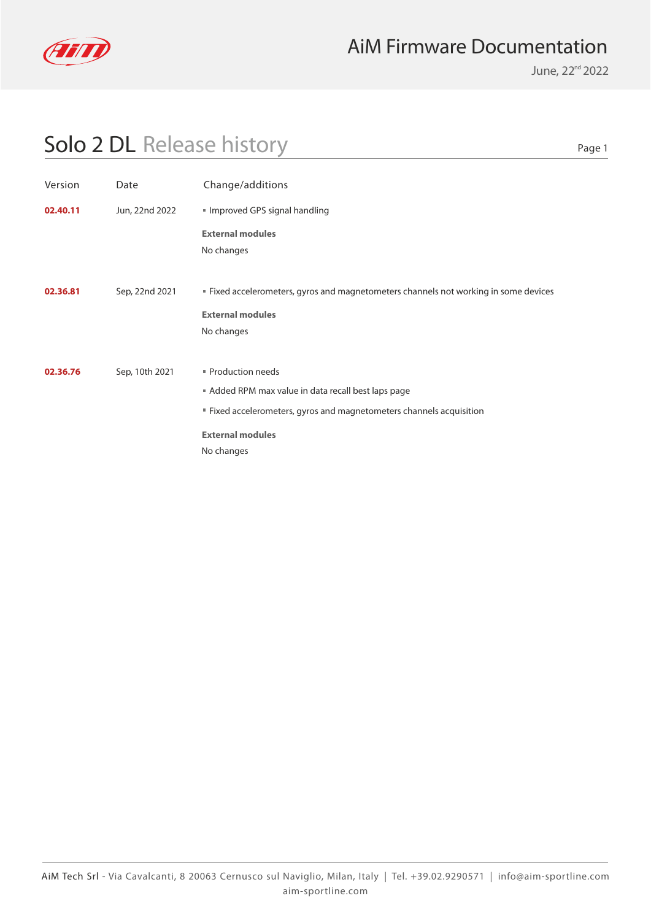

June, 22<sup>nd</sup> 2022

Page 1

| Version  | Date           | Change/additions                                                                                                                                                                       |
|----------|----------------|----------------------------------------------------------------------------------------------------------------------------------------------------------------------------------------|
| 02.40.11 | Jun, 22nd 2022 | Improved GPS signal handling                                                                                                                                                           |
|          |                | <b>External modules</b><br>No changes                                                                                                                                                  |
| 02.36.81 | Sep, 22nd 2021 | " Fixed accelerometers, gyros and magnetometers channels not working in some devices<br><b>External modules</b><br>No changes                                                          |
| 02.36.76 | Sep, 10th 2021 | Production needs<br>Added RPM max value in data recall best laps page<br>" Fixed accelerometers, gyros and magnetometers channels acquisition<br><b>External modules</b><br>No changes |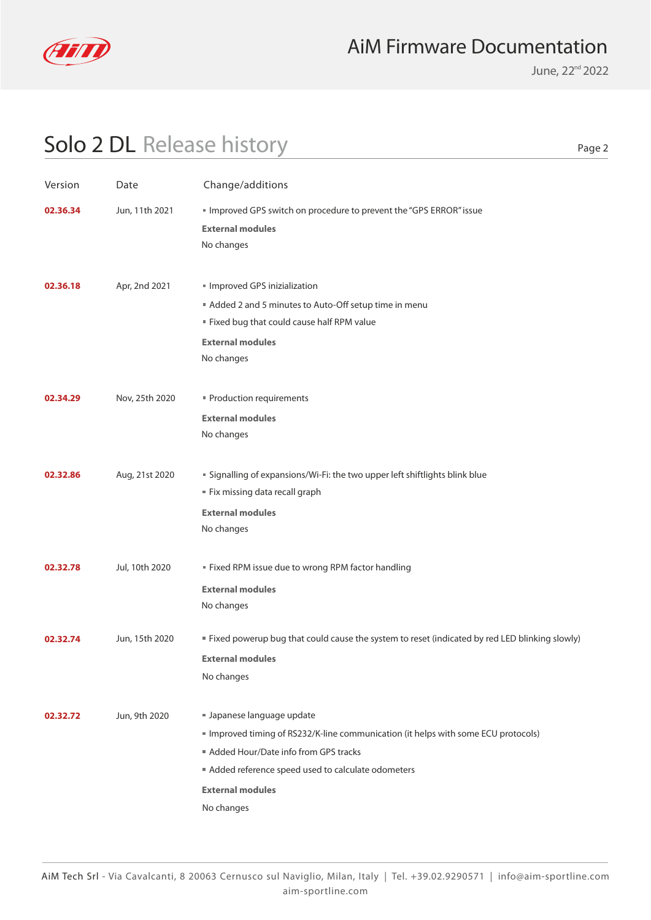

June, 22<sup>nd</sup> 2022

| . .<br>۰.<br>×<br>۰. |  |
|----------------------|--|
|----------------------|--|

| Version  | Date           | Change/additions                                                                                                                                                                                                                                     |
|----------|----------------|------------------------------------------------------------------------------------------------------------------------------------------------------------------------------------------------------------------------------------------------------|
| 02.36.34 | Jun, 11th 2021 | Improved GPS switch on procedure to prevent the "GPS ERROR" issue<br><b>External modules</b><br>No changes                                                                                                                                           |
| 02.36.18 | Apr, 2nd 2021  | Improved GPS inizialization<br>Added 2 and 5 minutes to Auto-Off setup time in menu<br>" Fixed bug that could cause half RPM value<br><b>External modules</b><br>No changes                                                                          |
| 02.34.29 | Nov, 25th 2020 | " Production requirements<br><b>External modules</b><br>No changes                                                                                                                                                                                   |
| 02.32.86 | Aug, 21st 2020 | " Signalling of expansions/Wi-Fi: the two upper left shiftlights blink blue<br>" Fix missing data recall graph<br><b>External modules</b><br>No changes                                                                                              |
| 02.32.78 | Jul, 10th 2020 | " Fixed RPM issue due to wrong RPM factor handling<br><b>External modules</b><br>No changes                                                                                                                                                          |
| 02.32.74 | Jun, 15th 2020 | " Fixed powerup bug that could cause the system to reset (indicated by red LED blinking slowly)<br><b>External modules</b><br>No changes                                                                                                             |
| 02.32.72 | Jun, 9th 2020  | I Japanese language update<br>Improved timing of RS232/K-line communication (it helps with some ECU protocols)<br>Added Hour/Date info from GPS tracks<br>Added reference speed used to calculate odometers<br><b>External modules</b><br>No changes |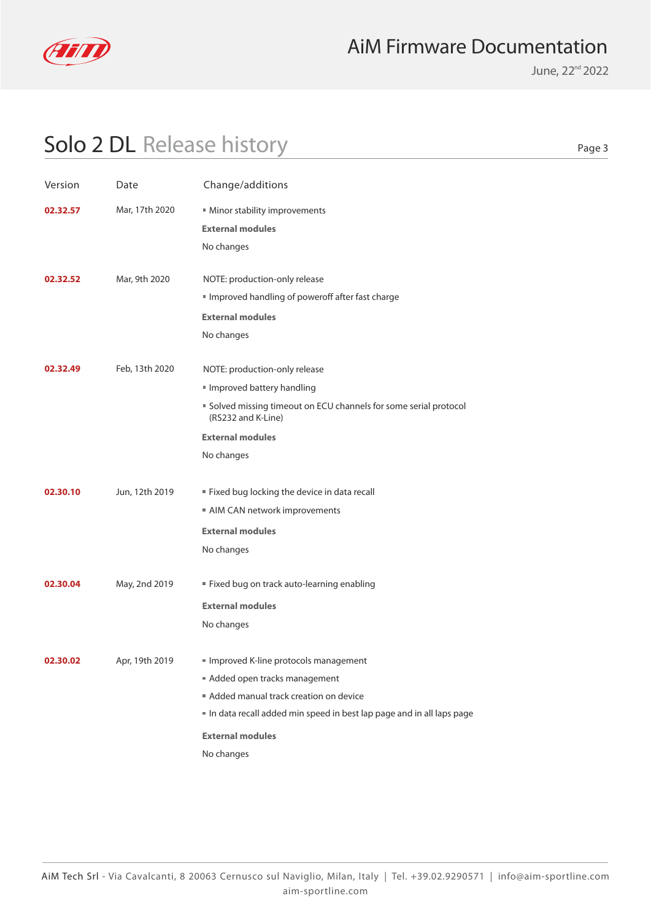

June, 22<sup>nd</sup> 2022

Page 3

| Version  | Date           | Change/additions                                                                      |
|----------|----------------|---------------------------------------------------------------------------------------|
| 02.32.57 | Mar, 17th 2020 | Minor stability improvements<br><b>External modules</b>                               |
|          |                | No changes                                                                            |
| 02.32.52 | Mar, 9th 2020  | NOTE: production-only release                                                         |
|          |                | Improved handling of poweroff after fast charge                                       |
|          |                | <b>External modules</b>                                                               |
|          |                | No changes                                                                            |
| 02.32.49 | Feb, 13th 2020 | NOTE: production-only release                                                         |
|          |                | Improved battery handling                                                             |
|          |                | Solved missing timeout on ECU channels for some serial protocol<br>(RS232 and K-Line) |
|          |                | <b>External modules</b>                                                               |
|          |                | No changes                                                                            |
| 02.30.10 | Jun, 12th 2019 | " Fixed bug locking the device in data recall                                         |
|          |                | AIM CAN network improvements                                                          |
|          |                | <b>External modules</b>                                                               |
|          |                | No changes                                                                            |
| 02.30.04 | May, 2nd 2019  | " Fixed bug on track auto-learning enabling                                           |
|          |                | <b>External modules</b>                                                               |
|          |                | No changes                                                                            |
| 02.30.02 | Apr, 19th 2019 | Improved K-line protocols management                                                  |
|          |                | Added open tracks management                                                          |
|          |                | Added manual track creation on device                                                 |
|          |                | In data recall added min speed in best lap page and in all laps page                  |
|          |                | <b>External modules</b>                                                               |
|          |                | No changes                                                                            |
|          |                |                                                                                       |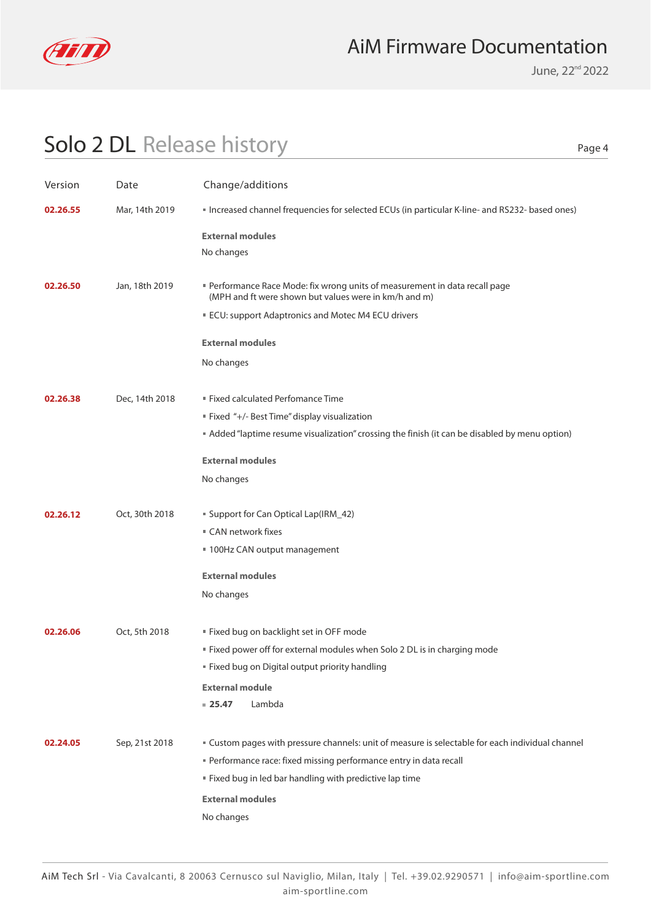

June, 22<sup>nd</sup> 2022

Page 4

| Version  | Date           | Change/additions                                                                                                                                                                                                                                                          |
|----------|----------------|---------------------------------------------------------------------------------------------------------------------------------------------------------------------------------------------------------------------------------------------------------------------------|
| 02.26.55 | Mar, 14th 2019 | " Increased channel frequencies for selected ECUs (in particular K-line- and RS232- based ones)                                                                                                                                                                           |
|          |                | <b>External modules</b><br>No changes                                                                                                                                                                                                                                     |
| 02.26.50 | Jan, 18th 2019 | Performance Race Mode: fix wrong units of measurement in data recall page<br>(MPH and ft were shown but values were in km/h and m)<br>ECU: support Adaptronics and Motec M4 ECU drivers                                                                                   |
|          |                | <b>External modules</b>                                                                                                                                                                                                                                                   |
|          |                | No changes                                                                                                                                                                                                                                                                |
| 02.26.38 | Dec, 14th 2018 | <b>Fixed calculated Perfomance Time</b><br>" Fixed "+/- Best Time" display visualization<br>Added "laptime resume visualization" crossing the finish (it can be disabled by menu option)                                                                                  |
|          |                | <b>External modules</b><br>No changes                                                                                                                                                                                                                                     |
| 02.26.12 | Oct, 30th 2018 | " Support for Can Optical Lap(IRM_42)<br>■ CAN network fixes<br>■ 100Hz CAN output management<br><b>External modules</b>                                                                                                                                                  |
|          |                | No changes                                                                                                                                                                                                                                                                |
| 02.26.06 | Oct, 5th 2018  | " Fixed bug on backlight set in OFF mode<br>" Fixed power off for external modules when Solo 2 DL is in charging mode<br>" Fixed bug on Digital output priority handling<br><b>External module</b><br>Lambda<br>$= 25.47$                                                 |
| 02.24.05 | Sep, 21st 2018 | " Custom pages with pressure channels: unit of measure is selectable for each individual channel<br>Performance race: fixed missing performance entry in data recall<br>" Fixed bug in led bar handling with predictive lap time<br><b>External modules</b><br>No changes |